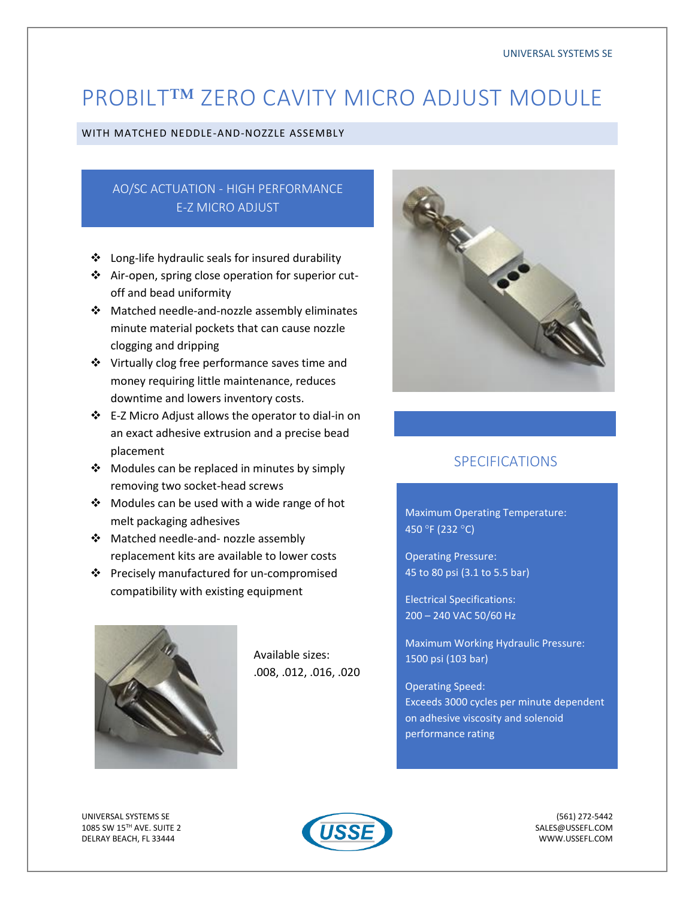# PROBILT™ ZERO CAVITY MICRO ADJUST MODULE

#### WITH MATCHED NEDDLE-AND-NOZZLE ASSEMBLY

## AO/SC ACTUATION - HIGH PERFORMANCE E-Z MICRO ADJUST

- ❖ Long-life hydraulic seals for insured durability
- ❖ Air-open, spring close operation for superior cutoff and bead uniformity
- ❖ Matched needle-and-nozzle assembly eliminates minute material pockets that can cause nozzle clogging and dripping
- ❖ Virtually clog free performance saves time and money requiring little maintenance, reduces downtime and lowers inventory costs.
- ❖ E-Z Micro Adjust allows the operator to dial-in on an exact adhesive extrusion and a precise bead placement
- ❖ Modules can be replaced in minutes by simply removing two socket-head screws
- ❖ Modules can be used with a wide range of hot melt packaging adhesives
- ❖ Matched needle-and- nozzle assembly replacement kits are available to lower costs
- ❖ Precisely manufactured for un-compromised compatibility with existing equipment



Available sizes: .008, .012, .016, .020



### SPECIFICATIONS

Maximum Operating Temperature: 450 °F (232 °C)

Operating Pressure: 45 to 80 psi (3.1 to 5.5 bar)

Electrical Specifications: 200 – 240 VAC 50/60 Hz

Maximum Working Hydraulic Pressure: 1500 psi (103 bar)

Operating Speed: Exceeds 3000 cycles per minute dependent on adhesive viscosity and solenoid performance rating